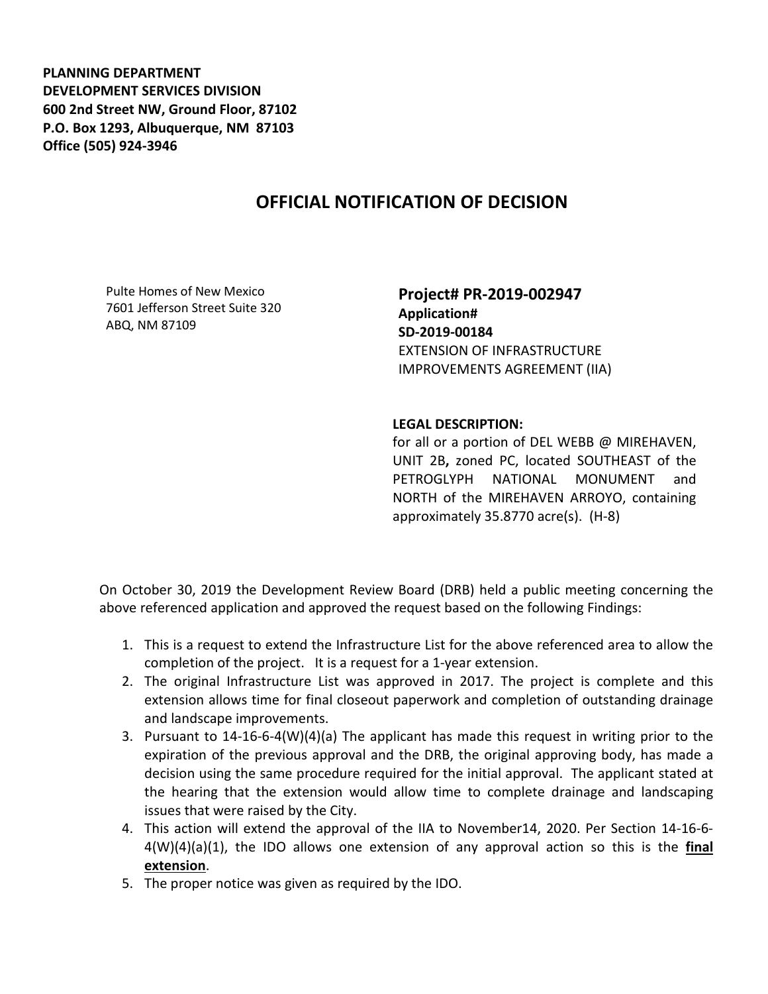**PLANNING DEPARTMENT DEVELOPMENT SERVICES DIVISION 600 2nd Street NW, Ground Floor, 87102 P.O. Box 1293, Albuquerque, NM 87103 Office (505) 924-3946** 

## **OFFICIAL NOTIFICATION OF DECISION**

Pulte Homes of New Mexico 7601 Jefferson Street Suite 320 ABQ, NM 87109

**Project# PR-2019-002947 Application# SD-2019-00184** EXTENSION OF INFRASTRUCTURE IMPROVEMENTS AGREEMENT (IIA)

## **LEGAL DESCRIPTION:**

for all or a portion of DEL WEBB @ MIREHAVEN, UNIT 2B**,** zoned PC, located SOUTHEAST of the PETROGLYPH NATIONAL MONUMENT and NORTH of the MIREHAVEN ARROYO, containing approximately 35.8770 acre(s). (H-8)

On October 30, 2019 the Development Review Board (DRB) held a public meeting concerning the above referenced application and approved the request based on the following Findings:

- 1. This is a request to extend the Infrastructure List for the above referenced area to allow the completion of the project. It is a request for a 1-year extension.
- 2. The original Infrastructure List was approved in 2017. The project is complete and this extension allows time for final closeout paperwork and completion of outstanding drainage and landscape improvements.
- 3. Pursuant to 14-16-6-4(W)(4)(a) The applicant has made this request in writing prior to the expiration of the previous approval and the DRB, the original approving body, has made a decision using the same procedure required for the initial approval. The applicant stated at the hearing that the extension would allow time to complete drainage and landscaping issues that were raised by the City.
- 4. This action will extend the approval of the IIA to November14, 2020. Per Section 14-16-6- 4(W)(4)(a)(1), the IDO allows one extension of any approval action so this is the **final extension**.
- 5. The proper notice was given as required by the IDO.